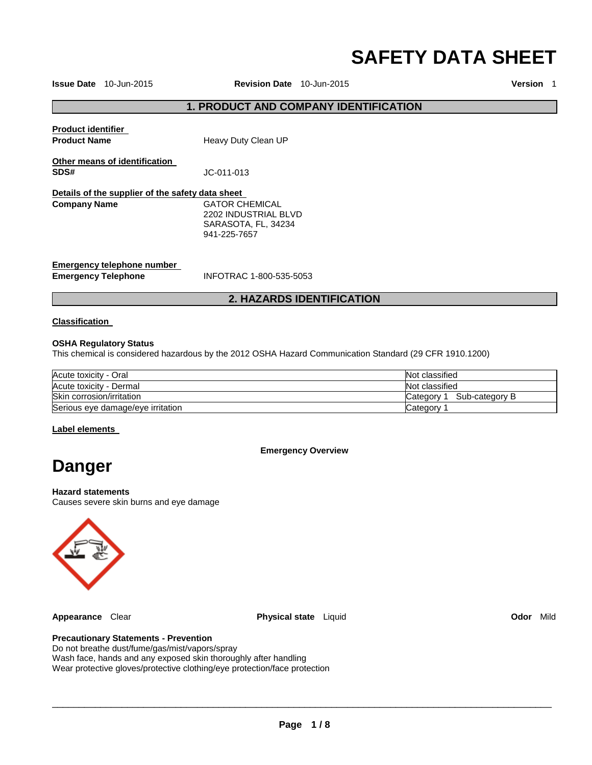# **SAFETY DATA SHEET**

**Issue Date** 10-Jun-2015 **Revision Date** 10-Jun-2015 **Version** 1

#### **1. PRODUCT AND COMPANY IDENTIFICATION**

| <b>Product identifier</b><br><b>Product Name</b>         | Heavy Duty Clean UP                                                           |
|----------------------------------------------------------|-------------------------------------------------------------------------------|
| Other means of identification<br>SDS#                    | JC-011-013                                                                    |
| Details of the supplier of the safety data sheet         |                                                                               |
| <b>Company Name</b>                                      | GATOR CHEMICAL<br>2202 INDUSTRIAL BLVD<br>SARASOTA, FL, 34234<br>941-225-7657 |
| Emergency telephone number<br><b>Emergency Telephone</b> | INFOTRAC 1-800-535-5053                                                       |

#### **2. HAZARDS IDENTIFICATION**

#### **Classification**

#### **OSHA Regulatory Status**

This chemical is considered hazardous by the 2012 OSHA Hazard Communication Standard (29 CFR 1910.1200)

| Acute toxicity - Oral             | Not classified               |
|-----------------------------------|------------------------------|
| Acute toxicity - Dermal           | Not classified               |
| Skin corrosion/irritation         | Sub-category B<br>Category 1 |
| Serious eye damage/eye irritation | Category                     |

#### **Label elements**

**Emergency Overview** 

## **Danger**

#### **Hazard statements**

Causes severe skin burns and eye damage



**Appearance** Clear **Physical state** Liquid **Odor** Mild

**Precautionary Statements - Prevention**

Do not breathe dust/fume/gas/mist/vapors/spray Wash face, hands and any exposed skin thoroughly after handling Wear protective gloves/protective clothing/eye protection/face protection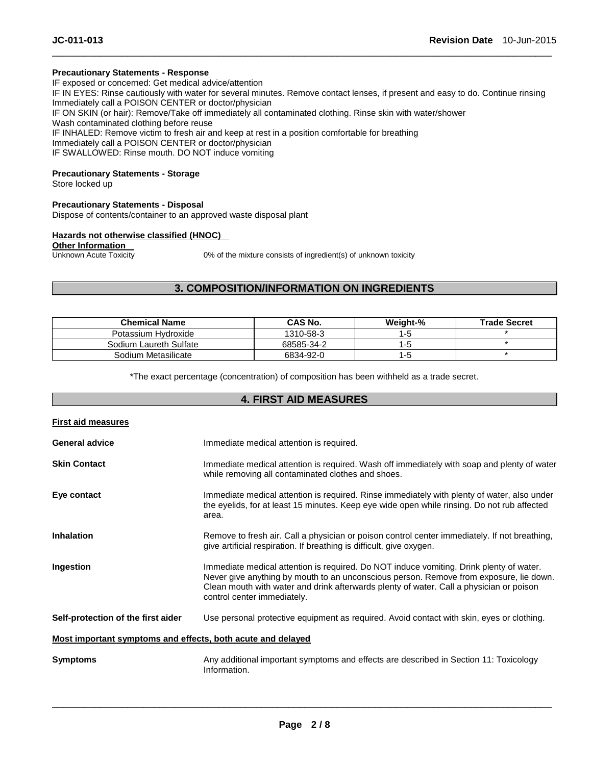#### **Precautionary Statements - Response**

IF exposed or concerned: Get medical advice/attention IF IN EYES: Rinse cautiously with water for several minutes. Remove contact lenses, if present and easy to do. Continue rinsing Immediately call a POISON CENTER or doctor/physician IF ON SKIN (or hair): Remove/Take off immediately all contaminated clothing. Rinse skin with water/shower Wash contaminated clothing before reuse IF INHALED: Remove victim to fresh air and keep at rest in a position comfortable for breathing Immediately call a POISON CENTER or doctor/physician IF SWALLOWED: Rinse mouth. DO NOT induce vomiting

\_\_\_\_\_\_\_\_\_\_\_\_\_\_\_\_\_\_\_\_\_\_\_\_\_\_\_\_\_\_\_\_\_\_\_\_\_\_\_\_\_\_\_\_\_\_\_\_\_\_\_\_\_\_\_\_\_\_\_\_\_\_\_\_\_\_\_\_\_\_\_\_\_\_\_\_\_\_\_\_\_\_\_\_\_\_\_\_\_\_\_\_\_

#### **Precautionary Statements - Storage**

Store locked up

#### **Precautionary Statements - Disposal**

Dispose of contents/container to an approved waste disposal plant

#### **Hazards not otherwise classified (HNOC)**

**Other Information**<br>Unknown Acute Toxicity

0% of the mixture consists of ingredient(s) of unknown toxicity

#### **3. COMPOSITION/INFORMATION ON INGREDIENTS**

| <b>Chemical Name</b>   | CAS No.    | Weight-% | <b>Trade Secret</b> |
|------------------------|------------|----------|---------------------|
| Potassium Hydroxide    | 1310-58-3  | 1-5      |                     |
| Sodium Laureth Sulfate | 68585-34-2 | l-t      |                     |
| Sodium Metasilicate    | 6834-92-0  | ם- ו     |                     |

\*The exact percentage (concentration) of composition has been withheld as a trade secret.

#### **4. FIRST AID MEASURES**

| <b>First aid measures</b>                                   |                                                                                                                                                                                                                                                                                                             |  |
|-------------------------------------------------------------|-------------------------------------------------------------------------------------------------------------------------------------------------------------------------------------------------------------------------------------------------------------------------------------------------------------|--|
| <b>General advice</b>                                       | Immediate medical attention is required.                                                                                                                                                                                                                                                                    |  |
| <b>Skin Contact</b>                                         | Immediate medical attention is required. Wash off immediately with soap and plenty of water<br>while removing all contaminated clothes and shoes.                                                                                                                                                           |  |
| Eye contact                                                 | Immediate medical attention is required. Rinse immediately with plenty of water, also under<br>the eyelids, for at least 15 minutes. Keep eye wide open while rinsing. Do not rub affected<br>area.                                                                                                         |  |
| <b>Inhalation</b>                                           | Remove to fresh air. Call a physician or poison control center immediately. If not breathing,<br>give artificial respiration. If breathing is difficult, give oxygen.                                                                                                                                       |  |
| Ingestion                                                   | Immediate medical attention is required. Do NOT induce vomiting. Drink plenty of water.<br>Never give anything by mouth to an unconscious person. Remove from exposure, lie down.<br>Clean mouth with water and drink afterwards plenty of water. Call a physician or poison<br>control center immediately. |  |
| Self-protection of the first aider                          | Use personal protective equipment as required. Avoid contact with skin, eyes or clothing.                                                                                                                                                                                                                   |  |
| Most important symptoms and effects, both acute and delayed |                                                                                                                                                                                                                                                                                                             |  |
| <b>Symptoms</b>                                             | Any additional important symptoms and effects are described in Section 11: Toxicology<br>Information.                                                                                                                                                                                                       |  |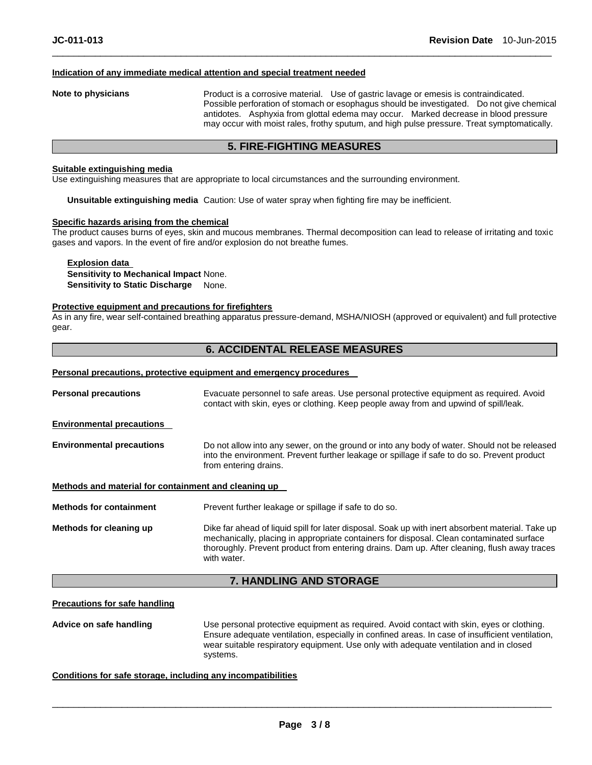#### **Indication of any immediate medical attention and special treatment needed**

**Note to physicians** Product is a corrosive material. Use of gastric lavage or emesis is contraindicated. Possible perforation of stomach or esophagus should be investigated. Do not give chemical antidotes. Asphyxia from glottal edema may occur. Marked decrease in blood pressure may occur with moist rales, frothy sputum, and high pulse pressure. Treat symptomatically.

#### **5. FIRE-FIGHTING MEASURES**

\_\_\_\_\_\_\_\_\_\_\_\_\_\_\_\_\_\_\_\_\_\_\_\_\_\_\_\_\_\_\_\_\_\_\_\_\_\_\_\_\_\_\_\_\_\_\_\_\_\_\_\_\_\_\_\_\_\_\_\_\_\_\_\_\_\_\_\_\_\_\_\_\_\_\_\_\_\_\_\_\_\_\_\_\_\_\_\_\_\_\_\_\_

#### **Suitable extinguishing media**

Use extinguishing measures that are appropriate to local circumstances and the surrounding environment.

**Unsuitable extinguishing media** Caution: Use of water spray when fighting fire may be inefficient.

#### **Specific hazards arising from the chemical**

The product causes burns of eyes, skin and mucous membranes. Thermal decomposition can lead to release of irritating and toxic gases and vapors. In the event of fire and/or explosion do not breathe fumes.

#### **Explosion data Sensitivity to Mechanical Impact** None. **Sensitivity to Static Discharge** None.

#### **Protective equipment and precautions for firefighters**

As in any fire, wear self-contained breathing apparatus pressure-demand, MSHA/NIOSH (approved or equivalent) and full protective gear.

#### **6. ACCIDENTAL RELEASE MEASURES**

#### **Personal precautions, protective equipment and emergency procedures**

| <b>Personal precautions</b>                          | Evacuate personnel to safe areas. Use personal protective equipment as required. Avoid<br>contact with skin, eyes or clothing. Keep people away from and upwind of spill/leak.                                                                                                                              |
|------------------------------------------------------|-------------------------------------------------------------------------------------------------------------------------------------------------------------------------------------------------------------------------------------------------------------------------------------------------------------|
| <b>Environmental precautions</b>                     |                                                                                                                                                                                                                                                                                                             |
| <b>Environmental precautions</b>                     | Do not allow into any sewer, on the ground or into any body of water. Should not be released<br>into the environment. Prevent further leakage or spillage if safe to do so. Prevent product<br>from entering drains.                                                                                        |
| Methods and material for containment and cleaning up |                                                                                                                                                                                                                                                                                                             |
| <b>Methods for containment</b>                       | Prevent further leakage or spillage if safe to do so.                                                                                                                                                                                                                                                       |
| Methods for cleaning up                              | Dike far ahead of liquid spill for later disposal. Soak up with inert absorbent material. Take up<br>mechanically, placing in appropriate containers for disposal. Clean contaminated surface<br>thoroughly. Prevent product from entering drains. Dam up. After cleaning, flush away traces<br>with water. |

#### **7. HANDLING AND STORAGE**

#### **Precautions for safe handling**

**Advice on safe handling** Use personal protective equipment as required. Avoid contact with skin, eyes or clothing. Ensure adequate ventilation, especially in confined areas. In case of insufficient ventilation, wear suitable respiratory equipment. Use only with adequate ventilation and in closed systems.

#### **Conditions for safe storage, including any incompatibilities**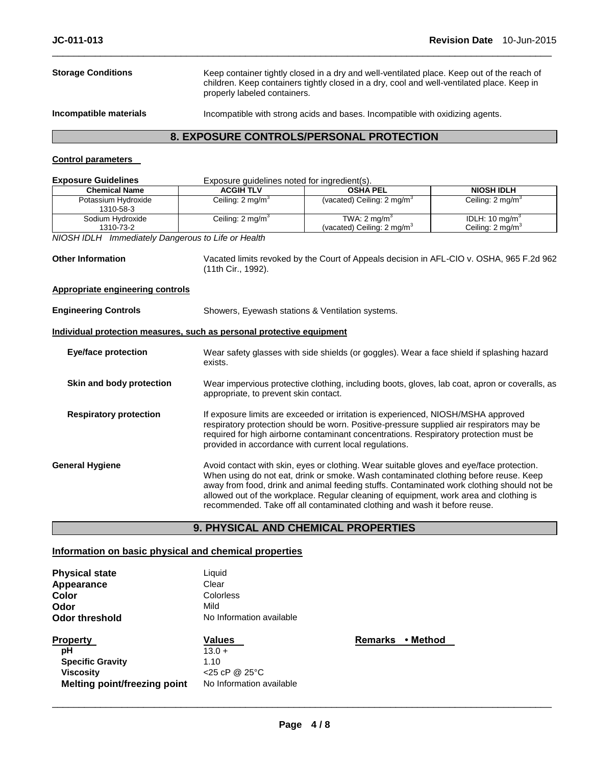| <b>8. EXPOSURE CONTROLS/PERSONAL PROTECTION</b> |                                                                                                                                                                                                                          |  |
|-------------------------------------------------|--------------------------------------------------------------------------------------------------------------------------------------------------------------------------------------------------------------------------|--|
| Incompatible materials                          | Incompatible with strong acids and bases. Incompatible with oxidizing agents.                                                                                                                                            |  |
| <b>Storage Conditions</b>                       | Keep container tightly closed in a dry and well-ventilated place. Keep out of the reach of<br>children. Keep containers tightly closed in a dry, cool and well-ventilated place. Keep in<br>properly labeled containers. |  |

\_\_\_\_\_\_\_\_\_\_\_\_\_\_\_\_\_\_\_\_\_\_\_\_\_\_\_\_\_\_\_\_\_\_\_\_\_\_\_\_\_\_\_\_\_\_\_\_\_\_\_\_\_\_\_\_\_\_\_\_\_\_\_\_\_\_\_\_\_\_\_\_\_\_\_\_\_\_\_\_\_\_\_\_\_\_\_\_\_\_\_\_\_

#### **8. EXPOSURE CONTROLS/PERSONAL PROTECTION**

#### **Control parameters**

| <b>Exposure Guidelines</b>                                            | Exposure guidelines noted for ingredient(s).                                                                                                                                                                                                                                                                                                                                                                                                         |                                                                                            |                                                           |  |
|-----------------------------------------------------------------------|------------------------------------------------------------------------------------------------------------------------------------------------------------------------------------------------------------------------------------------------------------------------------------------------------------------------------------------------------------------------------------------------------------------------------------------------------|--------------------------------------------------------------------------------------------|-----------------------------------------------------------|--|
| <b>Chemical Name</b>                                                  | <b>ACGIH TLV</b>                                                                                                                                                                                                                                                                                                                                                                                                                                     | <b>OSHA PEL</b>                                                                            | <b>NIOSH IDLH</b>                                         |  |
| Potassium Hydroxide<br>1310-58-3                                      | Ceiling: $2 \text{ mg/m}^3$                                                                                                                                                                                                                                                                                                                                                                                                                          | (vacated) Ceiling: 2 mg/m <sup>3</sup>                                                     | Ceiling: 2 mg/m <sup>3</sup>                              |  |
| Sodium Hydroxide<br>1310-73-2                                         | Ceiling: $2 \text{ mg/m}^3$                                                                                                                                                                                                                                                                                                                                                                                                                          | TWA: $2 \text{ mg/m}^3$<br>(vacated) Ceiling: 2 mg/m <sup>3</sup>                          | IDLH: $10 \text{ mg/m}^3$<br>Ceiling: 2 mg/m <sup>3</sup> |  |
| NIOSH IDLH Immediately Dangerous to Life or Health                    |                                                                                                                                                                                                                                                                                                                                                                                                                                                      |                                                                                            |                                                           |  |
| <b>Other Information</b>                                              | (11th Cir., 1992).                                                                                                                                                                                                                                                                                                                                                                                                                                   | Vacated limits revoked by the Court of Appeals decision in AFL-CIO v. OSHA, 965 F.2d 962   |                                                           |  |
| <b>Appropriate engineering controls</b>                               |                                                                                                                                                                                                                                                                                                                                                                                                                                                      |                                                                                            |                                                           |  |
| <b>Engineering Controls</b>                                           |                                                                                                                                                                                                                                                                                                                                                                                                                                                      | Showers, Eyewash stations & Ventilation systems.                                           |                                                           |  |
| Individual protection measures, such as personal protective equipment |                                                                                                                                                                                                                                                                                                                                                                                                                                                      |                                                                                            |                                                           |  |
| <b>Eye/face protection</b>                                            | exists.                                                                                                                                                                                                                                                                                                                                                                                                                                              | Wear safety glasses with side shields (or goggles). Wear a face shield if splashing hazard |                                                           |  |
| Skin and body protection                                              | Wear impervious protective clothing, including boots, gloves, lab coat, apron or coveralls, as<br>appropriate, to prevent skin contact.                                                                                                                                                                                                                                                                                                              |                                                                                            |                                                           |  |
| <b>Respiratory protection</b>                                         | If exposure limits are exceeded or irritation is experienced, NIOSH/MSHA approved<br>respiratory protection should be worn. Positive-pressure supplied air respirators may be<br>required for high airborne contaminant concentrations. Respiratory protection must be<br>provided in accordance with current local regulations.                                                                                                                     |                                                                                            |                                                           |  |
| <b>General Hygiene</b>                                                | Avoid contact with skin, eyes or clothing. Wear suitable gloves and eye/face protection.<br>When using do not eat, drink or smoke. Wash contaminated clothing before reuse. Keep<br>away from food, drink and animal feeding stuffs. Contaminated work clothing should not be<br>allowed out of the workplace. Regular cleaning of equipment, work area and clothing is<br>recommended. Take off all contaminated clothing and wash it before reuse. |                                                                                            |                                                           |  |

### **9. PHYSICAL AND CHEMICAL PROPERTIES**

#### **Information on basic physical and chemical properties**

| <b>Physical state</b>               | Liquid                   |
|-------------------------------------|--------------------------|
| Appearance                          | Clear                    |
| Color                               | Colorless                |
| Odor                                | Mild                     |
| Odor threshold                      | No Information available |
| <b>Property</b>                     | <b>Values</b>            |
| рH                                  | $13.0 +$                 |
| <b>Specific Gravity</b>             | 1.10                     |
| Viscosity                           | $<$ 25 cP @ 25 °C        |
| <b>Melting point/freezing point</b> | No Information available |

**Remarks • Method**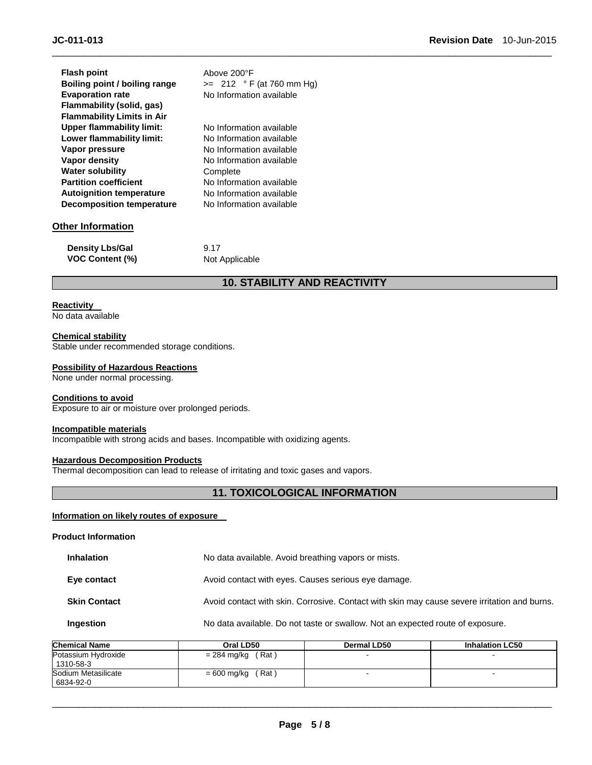| <b>Flash point</b>                | Above 200°F                |
|-----------------------------------|----------------------------|
| Boiling point / boiling range     | $>= 212 °F (at 760 mm Hg)$ |
| <b>Evaporation rate</b>           | No Information available   |
| Flammability (solid, gas)         |                            |
| <b>Flammability Limits in Air</b> |                            |
| <b>Upper flammability limit:</b>  | No Information available   |
| Lower flammability limit:         | No Information available   |
| Vapor pressure                    | No Information available   |
| Vapor density                     | No Information available   |
| <b>Water solubility</b>           | Complete                   |
| <b>Partition coefficient</b>      | No Information available   |
| <b>Autoignition temperature</b>   | No Information available   |
| <b>Decomposition temperature</b>  | No Information available   |
| Other Information                 |                            |
|                                   |                            |

| <b>Density Lbs/Gal</b> | 9.17           |
|------------------------|----------------|
| <b>VOC Content (%)</b> | Not Applicable |

#### **10. STABILITY AND REACTIVITY**

\_\_\_\_\_\_\_\_\_\_\_\_\_\_\_\_\_\_\_\_\_\_\_\_\_\_\_\_\_\_\_\_\_\_\_\_\_\_\_\_\_\_\_\_\_\_\_\_\_\_\_\_\_\_\_\_\_\_\_\_\_\_\_\_\_\_\_\_\_\_\_\_\_\_\_\_\_\_\_\_\_\_\_\_\_\_\_\_\_\_\_\_\_

#### **Reactivity**

No data available

#### **Chemical stability**

Stable under recommended storage conditions.

#### **Possibility of Hazardous Reactions**

None under normal processing.

#### **Conditions to avoid**

Exposure to air or moisture over prolonged periods.

#### **Incompatible materials**

Incompatible with strong acids and bases. Incompatible with oxidizing agents.

#### **Hazardous Decomposition Products**

Thermal decomposition can lead to release of irritating and toxic gases and vapors.

#### **11. TOXICOLOGICAL INFORMATION**

#### **Information on likely routes of exposure**

**Product Information** 

| <b>Inhalation</b> | No data available. Avoid breathing vapors or mists. |
|-------------------|-----------------------------------------------------|
|                   |                                                     |

**Eye contact Exercise 3** Avoid contact with eyes. Causes serious eye damage.

#### **Skin Contact Avoid contact with skin. Corrosive. Contact with skin may cause severe irritation and burns.**

#### **Ingestion No data available. Do not taste or swallow. Not an expected route of exposure.**

| <b>Chemical Name</b>             | Oral LD50            | Dermal LD50 | <b>Inhalation LC50</b> |
|----------------------------------|----------------------|-------------|------------------------|
| Potassium Hydroxide<br>1310-58-3 | $= 284$ mg/kg (Rat)  |             |                        |
| Sodium Metasilicate<br>6834-92-0 | (Rat)<br>= 600 mg/kg |             | -                      |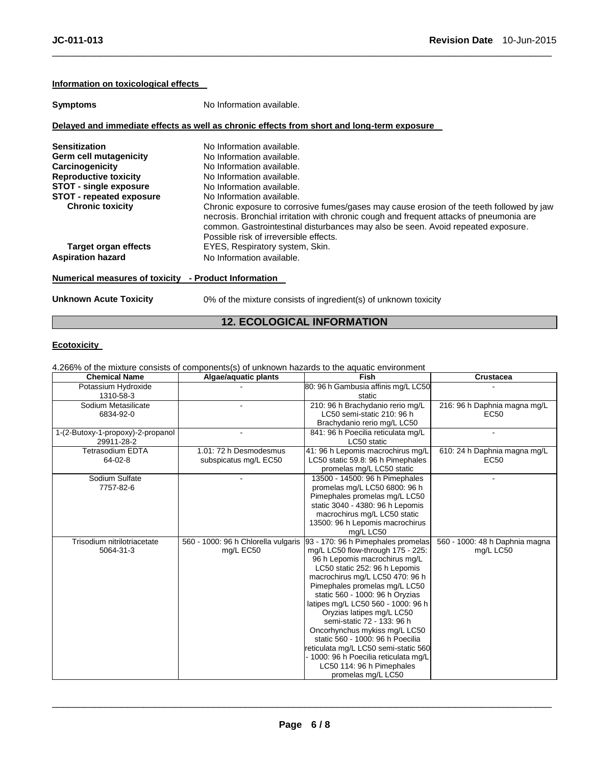#### **Information on toxicological effects**

| <b>Symptoms</b>               | No Information available.                                                                                                                                                                                                                                                                                         |  |  |  |  |
|-------------------------------|-------------------------------------------------------------------------------------------------------------------------------------------------------------------------------------------------------------------------------------------------------------------------------------------------------------------|--|--|--|--|
|                               | Delayed and immediate effects as well as chronic effects from short and long-term exposure                                                                                                                                                                                                                        |  |  |  |  |
| <b>Sensitization</b>          | No Information available.                                                                                                                                                                                                                                                                                         |  |  |  |  |
| Germ cell mutagenicity        | No Information available.                                                                                                                                                                                                                                                                                         |  |  |  |  |
| Carcinogenicity               | No Information available.                                                                                                                                                                                                                                                                                         |  |  |  |  |
| <b>Reproductive toxicity</b>  | No Information available.                                                                                                                                                                                                                                                                                         |  |  |  |  |
| <b>STOT - single exposure</b> | No Information available.                                                                                                                                                                                                                                                                                         |  |  |  |  |
| STOT - repeated exposure      | No Information available.                                                                                                                                                                                                                                                                                         |  |  |  |  |
| <b>Chronic toxicity</b>       | Chronic exposure to corrosive fumes/gases may cause erosion of the teeth followed by jaw<br>necrosis. Bronchial irritation with chronic cough and frequent attacks of pneumonia are<br>common. Gastrointestinal disturbances may also be seen. Avoid repeated exposure.<br>Possible risk of irreversible effects. |  |  |  |  |
| Target organ effects          | EYES, Respiratory system, Skin.                                                                                                                                                                                                                                                                                   |  |  |  |  |
| <b>Aspiration hazard</b>      | No Information available.                                                                                                                                                                                                                                                                                         |  |  |  |  |

\_\_\_\_\_\_\_\_\_\_\_\_\_\_\_\_\_\_\_\_\_\_\_\_\_\_\_\_\_\_\_\_\_\_\_\_\_\_\_\_\_\_\_\_\_\_\_\_\_\_\_\_\_\_\_\_\_\_\_\_\_\_\_\_\_\_\_\_\_\_\_\_\_\_\_\_\_\_\_\_\_\_\_\_\_\_\_\_\_\_\_\_\_

#### **Numerical measures of toxicity - Product Information**

**Unknown Acute Toxicity** 0% of the mixture consists of ingredient(s) of unknown toxicity

### **12. ECOLOGICAL INFORMATION**

#### **Ecotoxicity**

4.266% of the mixture consists of components(s) of unknown hazards to the aquatic environment

| <b>Chemical Name</b>              | Algae/aquatic plants                | Fish                                                             | <b>Crustacea</b>               |
|-----------------------------------|-------------------------------------|------------------------------------------------------------------|--------------------------------|
| Potassium Hydroxide               |                                     | 80: 96 h Gambusia affinis mg/L LC50                              |                                |
| 1310-58-3                         |                                     | static                                                           |                                |
| Sodium Metasilicate               |                                     | 210: 96 h Brachydanio rerio mg/L                                 | 216: 96 h Daphnia magna mg/L   |
| 6834-92-0                         |                                     | LC50 semi-static 210: 96 h                                       | EC50                           |
|                                   |                                     | Brachydanio rerio mg/L LC50                                      |                                |
| 1-(2-Butoxy-1-propoxy)-2-propanol |                                     | 841: 96 h Poecilia reticulata mg/L                               |                                |
| 29911-28-2                        |                                     | LC50 static                                                      |                                |
| <b>Tetrasodium EDTA</b>           | 1.01: 72 h Desmodesmus              | 41: 96 h Lepomis macrochirus mg/L                                | 610: 24 h Daphnia magna mg/L   |
| $64 - 02 - 8$                     | subspicatus mg/L EC50               | LC50 static 59.8: 96 h Pimephales                                | EC50                           |
|                                   |                                     | promelas mg/L LC50 static                                        |                                |
| Sodium Sulfate                    |                                     | 13500 - 14500: 96 h Pimephales                                   |                                |
| 7757-82-6                         |                                     | promelas mg/L LC50 6800: 96 h                                    |                                |
|                                   |                                     | Pimephales promelas mg/L LC50                                    |                                |
|                                   |                                     | static 3040 - 4380: 96 h Lepomis                                 |                                |
|                                   |                                     | macrochirus mg/L LC50 static                                     |                                |
|                                   |                                     | 13500: 96 h Lepomis macrochirus                                  |                                |
|                                   |                                     | mg/L LC50                                                        |                                |
| Trisodium nitrilotriacetate       | 560 - 1000: 96 h Chlorella vulgaris | 93 - 170: 96 h Pimephales promelas                               | 560 - 1000: 48 h Daphnia magna |
| 5064-31-3                         | mg/L EC50                           | mg/L LC50 flow-through 175 - 225:                                | mg/L LC50                      |
|                                   |                                     | 96 h Lepomis macrochirus mg/L                                    |                                |
|                                   |                                     | LC50 static 252: 96 h Lepomis                                    |                                |
|                                   |                                     | macrochirus mg/L LC50 470: 96 h<br>Pimephales promelas mg/L LC50 |                                |
|                                   |                                     | static 560 - 1000: 96 h Oryzias                                  |                                |
|                                   |                                     | latipes mg/L LC50 560 - 1000: 96 h                               |                                |
|                                   |                                     | Oryzias latipes mg/L LC50                                        |                                |
|                                   |                                     | semi-static 72 - 133: 96 h                                       |                                |
|                                   |                                     | Oncorhynchus mykiss mg/L LC50                                    |                                |
|                                   |                                     | static 560 - 1000: 96 h Poecilia                                 |                                |
|                                   |                                     | reticulata mg/L LC50 semi-static 560                             |                                |
|                                   |                                     | - 1000: 96 h Poecilia reticulata mg/L                            |                                |
|                                   |                                     | LC50 114: 96 h Pimephales                                        |                                |
|                                   |                                     | promelas mg/L LC50                                               |                                |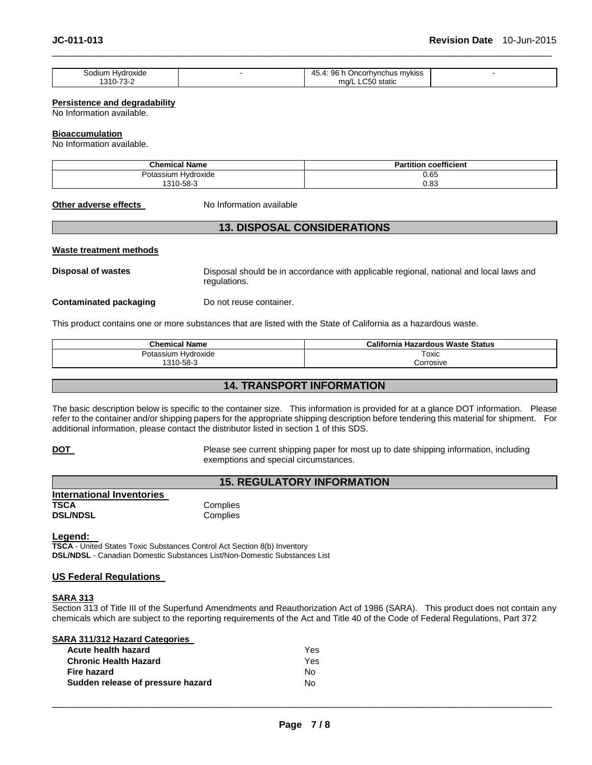| Sodium Hvdroxide | 96 h t<br>45<br>$45.4^{\circ}$<br>⊦Oncorh∨nchus m∨kiss |  |
|------------------|--------------------------------------------------------|--|
| 1310-73-2        | ∩50 static<br>ma/L<br>$\sim$<br>.                      |  |

\_\_\_\_\_\_\_\_\_\_\_\_\_\_\_\_\_\_\_\_\_\_\_\_\_\_\_\_\_\_\_\_\_\_\_\_\_\_\_\_\_\_\_\_\_\_\_\_\_\_\_\_\_\_\_\_\_\_\_\_\_\_\_\_\_\_\_\_\_\_\_\_\_\_\_\_\_\_\_\_\_\_\_\_\_\_\_\_\_\_\_\_\_

#### **Persistence and degradability**

No Information available.

#### **Bioaccumulation**

No Information available.

| <b>Chemical Name</b>            | <b>Partition coefficient</b> |  |  |
|---------------------------------|------------------------------|--|--|
| . .<br>Hvdroxide<br>Potassium ! |                              |  |  |
| 1310-58-3                       | $0.65$<br>$0.83$             |  |  |

#### **Other adverse effects** No Information available

#### **13. DISPOSAL CONSIDERATIONS**

#### **Waste treatment methods**

**Disposal of wastes** Disposal should be in accordance with applicable regional, national and local laws and regulations.

**Contaminated packaging by Do not reuse container.** 

This product contains one or more substances that are listed with the State of California as a hazardous waste.

| <b>Chemical Name</b> | California Hazardous Waste Status |  |  |
|----------------------|-----------------------------------|--|--|
| Potassium Hvdroxide  | Toxic                             |  |  |
| 1310-58-3            | orrosive;                         |  |  |

#### **14. TRANSPORT INFORMATION**

The basic description below is specific to the container size. This information is provided for at a glance DOT information. Please refer to the container and/or shipping papers for the appropriate shipping description before tendering this material for shipment. For additional information, please contact the distributor listed in section 1 of this SDS.

**DOT Please see current shipping paper for most up to date shipping information, including** exemptions and special circumstances.

#### **15. REGULATORY INFORMATION**

| <b>International Inventories</b> |          |
|----------------------------------|----------|
| TSCA                             | Complies |
| <b>DSL/NDSL</b>                  | Complies |

**Legend:** 

**TSCA** - United States Toxic Substances Control Act Section 8(b) Inventory **DSL/NDSL** - Canadian Domestic Substances List/Non-Domestic Substances List

#### **US Federal Regulations**

#### **SARA 313**

Section 313 of Title III of the Superfund Amendments and Reauthorization Act of 1986 (SARA). This product does not contain any chemicals which are subject to the reporting requirements of the Act and Title 40 of the Code of Federal Regulations, Part 372

**SARA 311/312 Hazard Categories** 

| Acute health hazard               | <b>Yes</b> |
|-----------------------------------|------------|
| <b>Chronic Health Hazard</b>      | Yes.       |
| Fire hazard                       | No.        |
| Sudden release of pressure hazard | N∩         |
|                                   |            |